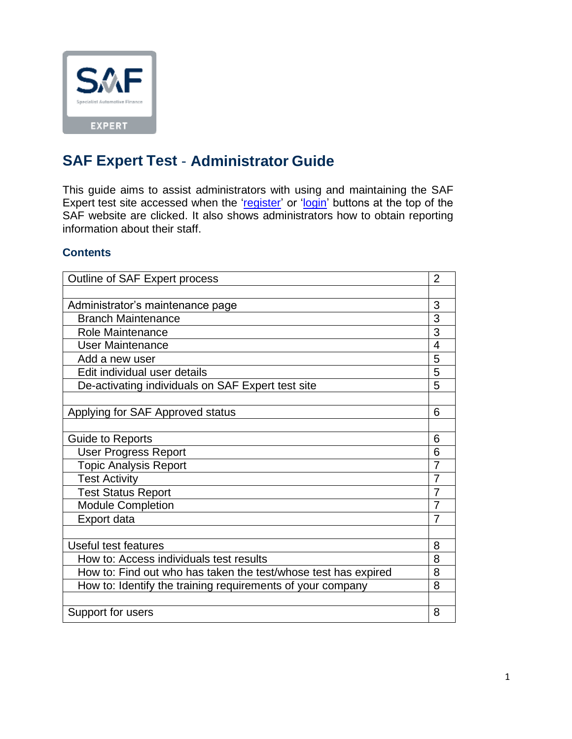

# **SAF Expert Test** - **Administrator Guide**

This guide aims to assist administrators with using and maintaining the SAF Expert test site accessed when the ['register'](https://www.specialistautomotivefinance.org.uk/test/) or ['login'](https://www.specialistautomotivefinance.org.uk/test/) buttons at the top of the SAF website are clicked. It also shows administrators how to obtain reporting information about their staff.

# **Contents**

| Outline of SAF Expert process                                  | $\overline{2}$ |
|----------------------------------------------------------------|----------------|
|                                                                |                |
| Administrator's maintenance page                               | 3              |
| <b>Branch Maintenance</b>                                      | 3              |
| Role Maintenance                                               | 3              |
| User Maintenance                                               | 4              |
| Add a new user                                                 | 5              |
| Edit individual user details                                   | 5              |
| De-activating individuals on SAF Expert test site              | 5              |
|                                                                |                |
| Applying for SAF Approved status                               | 6              |
|                                                                |                |
| <b>Guide to Reports</b>                                        | 6              |
| <b>User Progress Report</b>                                    | 6              |
| <b>Topic Analysis Report</b>                                   | 7              |
| <b>Test Activity</b>                                           | 7              |
| <b>Test Status Report</b>                                      | 7              |
| <b>Module Completion</b>                                       | 7              |
| Export data                                                    | 7              |
|                                                                |                |
| <b>Useful test features</b>                                    | 8              |
| How to: Access individuals test results                        | 8              |
| How to: Find out who has taken the test/whose test has expired | 8              |
| How to: Identify the training requirements of your company     | 8              |
|                                                                |                |
| Support for users                                              | 8              |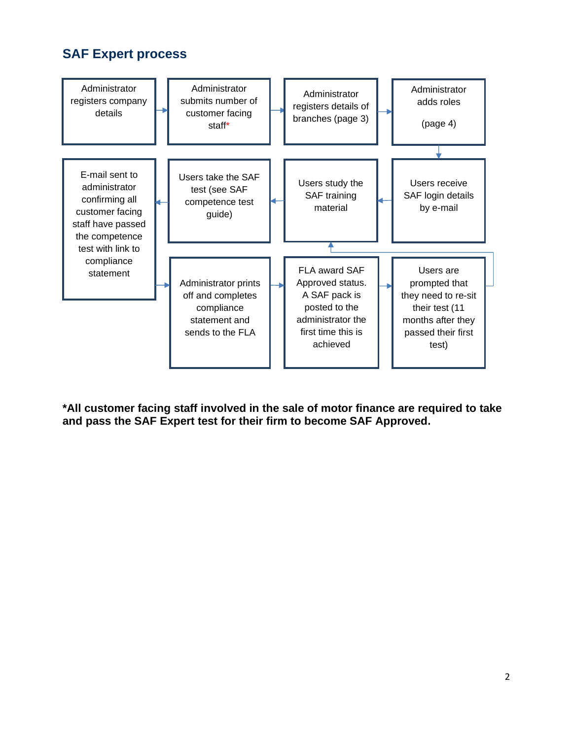# **SAF Expert process**



**\*All customer facing staff involved in the sale of motor finance are required to take and pass the SAF Expert test for their firm to become SAF Approved.**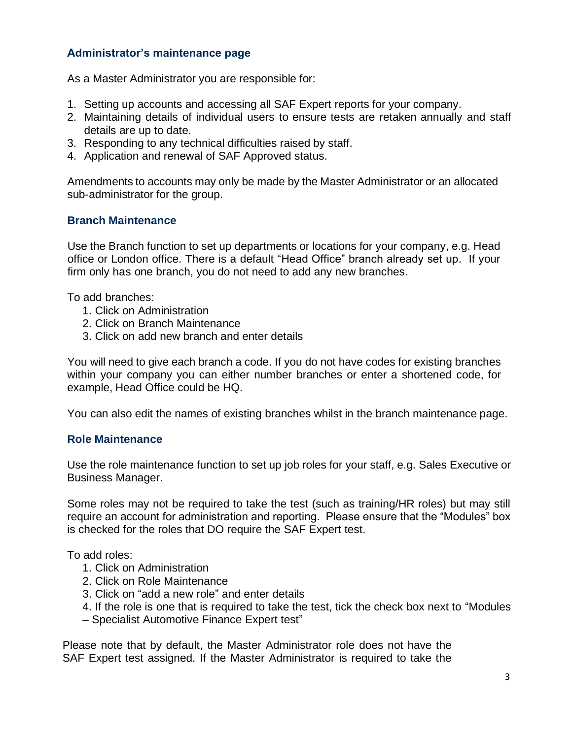# **Administrator's maintenance page**

As a Master Administrator you are responsible for:

- 1. Setting up accounts and accessing all SAF Expert reports for your company.
- 2. Maintaining details of individual users to ensure tests are retaken annually and staff details are up to date.
- 3. Responding to any technical difficulties raised by staff.
- 4. Application and renewal of SAF Approved status.

Amendments to accounts may only be made by the Master Administrator or an allocated sub-administrator for the group.

### **Branch Maintenance**

Use the Branch function to set up departments or locations for your company, e.g. Head office or London office. There is a default "Head Office" branch already set up. If your firm only has one branch, you do not need to add any new branches.

To add branches:

- 1. Click on Administration
- 2. Click on Branch Maintenance
- 3. Click on add new branch and enter details

You will need to give each branch a code. If you do not have codes for existing branches within your company you can either number branches or enter a shortened code, for example, Head Office could be HQ.

You can also edit the names of existing branches whilst in the branch maintenance page.

#### **Role Maintenance**

Use the role maintenance function to set up job roles for your staff, e.g. Sales Executive or Business Manager.

Some roles may not be required to take the test (such as training/HR roles) but may still require an account for administration and reporting. Please ensure that the "Modules" box is checked for the roles that DO require the SAF Expert test.

To add roles:

- 1. Click on Administration
- 2. Click on Role Maintenance
- 3. Click on "add a new role" and enter details
- 4. If the role is one that is required to take the test, tick the check box next to "Modules
- Specialist Automotive Finance Expert test"

Please note that by default, the Master Administrator role does not have the SAF Expert test assigned. If the Master Administrator is required to take the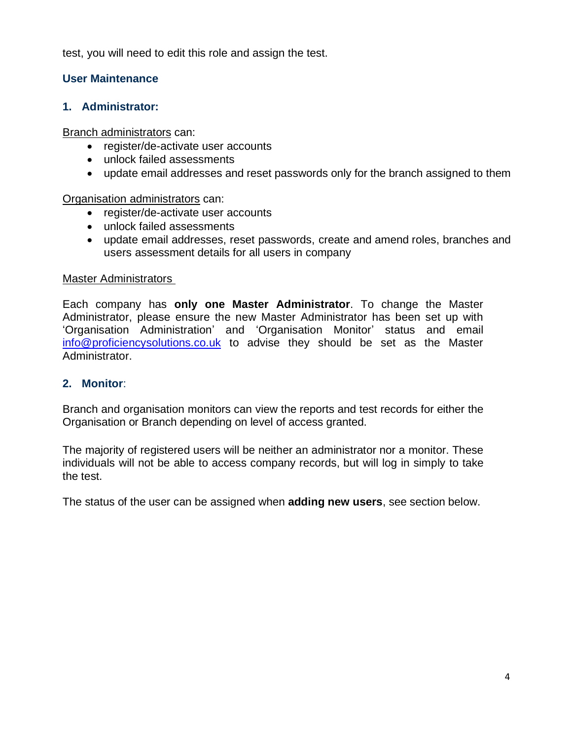test, you will need to edit this role and assign the test.

# **User Maintenance**

# **1. Administrator:**

Branch administrators can:

- register/de-activate user accounts
- unlock failed assessments
- update email addresses and reset passwords only for the branch assigned to them

Organisation administrators can:

- register/de-activate user accounts
- unlock failed assessments
- update email addresses, reset passwords, create and amend roles, branches and users assessment details for all users in company

### Master Administrators

Each company has **only one Master Administrator**. To change the Master Administrator, please ensure the new Master Administrator has been set up with 'Organisation Administration' and 'Organisation Monitor' status and email [info@proficiencysolutions.co.uk](mailto:info@proficiencysolutions.co.uk) to advise they should be set as the Master Administrator.

# **2. Monitor**:

Branch and organisation monitors can view the reports and test records for either the Organisation or Branch depending on level of access granted.

The majority of registered users will be neither an administrator nor a monitor. These individuals will not be able to access company records, but will log in simply to take the test.

The status of the user can be assigned when **adding new users**, see section below.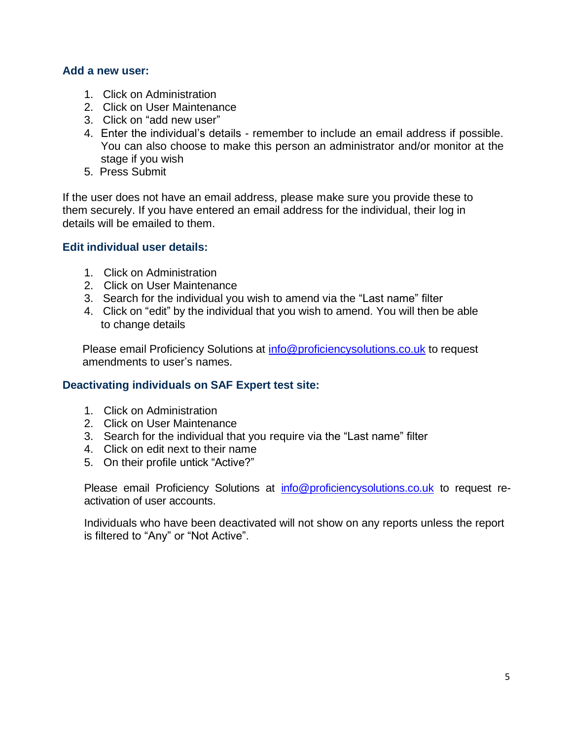### **Add a new user:**

- 1. Click on Administration
- 2. Click on User Maintenance
- 3. Click on "add new user"
- 4. Enter the individual's details remember to include an email address if possible. You can also choose to make this person an administrator and/or monitor at the stage if you wish
- 5. Press Submit

If the user does not have an email address, please make sure you provide these to them securely. If you have entered an email address for the individual, their log in details will be emailed to them.

### **Edit individual user details:**

- 1. Click on Administration
- 2. Click on User Maintenance
- 3. Search for the individual you wish to amend via the "Last name" filter
- 4. Click on "edit" by the individual that you wish to amend. You will then be able to change details

Please email Proficiency Solutions at [info@proficiencysolutions.co.uk](mailto:info@proficiencysolutions.co.uk) to request amendments to user's names.

### **Deactivating individuals on SAF Expert test site:**

- 1. Click on Administration
- 2. Click on User Maintenance
- 3. Search for the individual that you require via the "Last name" filter
- 4. Click on edit next to their name
- 5. On their profile untick "Active?"

Please email Proficiency Solutions at [info@proficiencysolutions.co.uk](mailto:info@proficiencysolutions.co.uk) to request reactivation of user accounts.

Individuals who have been deactivated will not show on any reports unless the report is filtered to "Any" or "Not Active".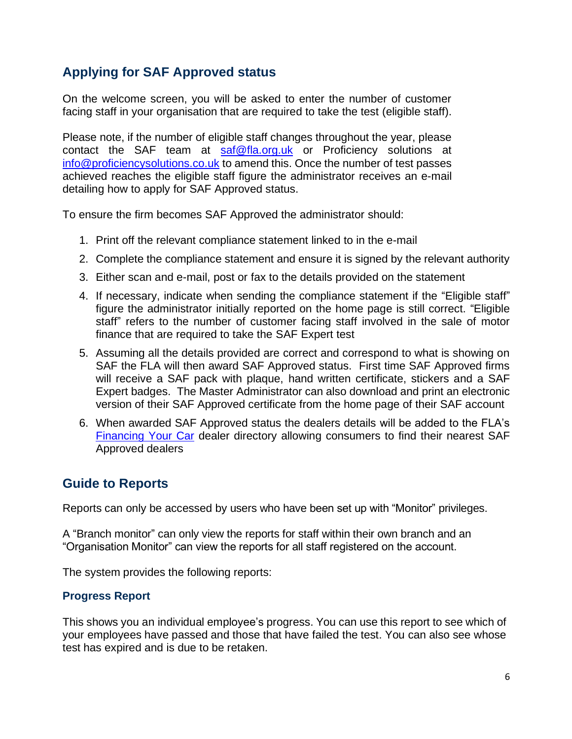# **Applying for SAF Approved status**

On the welcome screen, you will be asked to enter the number of customer facing staff in your organisation that are required to take the test (eligible staff).

Please note, if the number of eligible staff changes throughout the year, please contact the SAF team at [saf@fla.org.uk](mailto:saf@fla.org.uk) or Proficiency solutions at [info@proficiencysolutions.co.uk](mailto:info@proficiencysolutions.co.uk) to amend this. Once the number of test passes achieved reaches the eligible staff figure the administrator receives an e-mail detailing how to apply for SAF Approved status.

To ensure the firm becomes SAF Approved the administrator should:

- 1. Print off the relevant compliance statement linked to in the e-mail
- 2. Complete the compliance statement and ensure it is signed by the relevant authority
- 3. Either scan and e-mail, post or fax to the details provided on the statement
- 4. If necessary, indicate when sending the compliance statement if the "Eligible staff" figure the administrator initially reported on the home page is still correct. "Eligible staff" refers to the number of customer facing staff involved in the sale of motor finance that are required to take the SAF Expert test
- 5. Assuming all the details provided are correct and correspond to what is showing on SAF the FLA will then award SAF Approved status. First time SAF Approved firms will receive a SAF pack with plaque, hand written certificate, stickers and a SAF Expert badges. The Master Administrator can also download and print an electronic version of their SAF Approved certificate from the home page of their SAF account
- 6. When awarded SAF Approved status the dealers details will be added to the FLA's [Financing Your Car](http://www.financingyourcar.org.uk/car-finance/) dealer directory allowing consumers to find their nearest SAF Approved dealers

# **Guide to Reports**

Reports can only be accessed by users who have been set up with "Monitor" privileges.

A "Branch monitor" can only view the reports for staff within their own branch and an "Organisation Monitor" can view the reports for all staff registered on the account.

The system provides the following reports:

### **Progress Report**

This shows you an individual employee's progress. You can use this report to see which of your employees have passed and those that have failed the test. You can also see whose test has expired and is due to be retaken.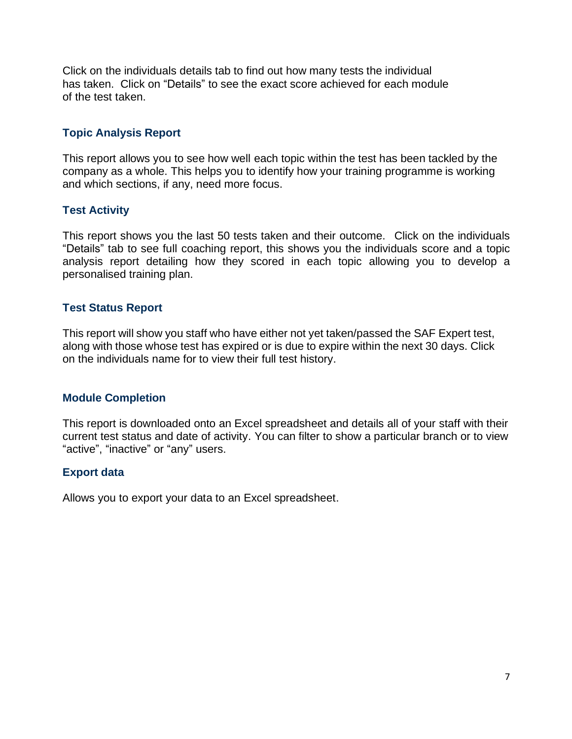Click on the individuals details tab to find out how many tests the individual has taken. Click on "Details" to see the exact score achieved for each module of the test taken.

# **Topic Analysis Report**

This report allows you to see how well each topic within the test has been tackled by the company as a whole. This helps you to identify how your training programme is working and which sections, if any, need more focus.

### **Test Activity**

This report shows you the last 50 tests taken and their outcome. Click on the individuals "Details" tab to see full coaching report, this shows you the individuals score and a topic analysis report detailing how they scored in each topic allowing you to develop a personalised training plan.

# **Test Status Report**

This report will show you staff who have either not yet taken/passed the SAF Expert test, along with those whose test has expired or is due to expire within the next 30 days. Click on the individuals name for to view their full test history.

### **Module Completion**

This report is downloaded onto an Excel spreadsheet and details all of your staff with their current test status and date of activity. You can filter to show a particular branch or to view "active", "inactive" or "any" users.

### **Export data**

Allows you to export your data to an Excel spreadsheet.